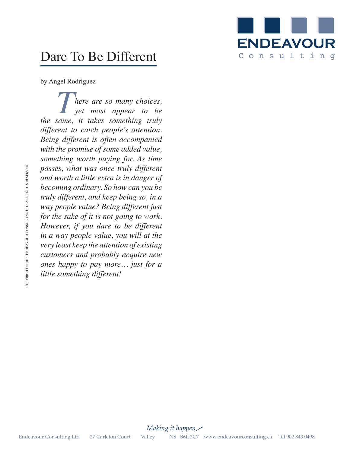

## Dare To Be Different

by Angel Rodriguez

*There are so many choices,*<br>yet most appear to be<br>same it takes something truly *yet most appear to be the same, it takes something truly different to catch people's attention. Being different is often accompanied with the promise of some added value, something worth paying for. As time passes, what was once truly different and worth a little extra is in danger of becoming ordinary. So how can you be truly different, and keep being so, in a way people value? Being different just for the sake of it is not going to work. However, if you dare to be different in a way people value, you will at the very least keep the attention of existing customers and probably acquire new ones happy to pay more… just for a little something different!* Endeavour Consulting Ltd 27 Carleton Court Valley NS B6L 3C7 www.endeavourconsulting Let  $\frac{1}{2}$  was precipient, and keep heing a  $\alpha$ , the sake of it is not going to work.<br>
For the sake of it is not going to work.<br>
for